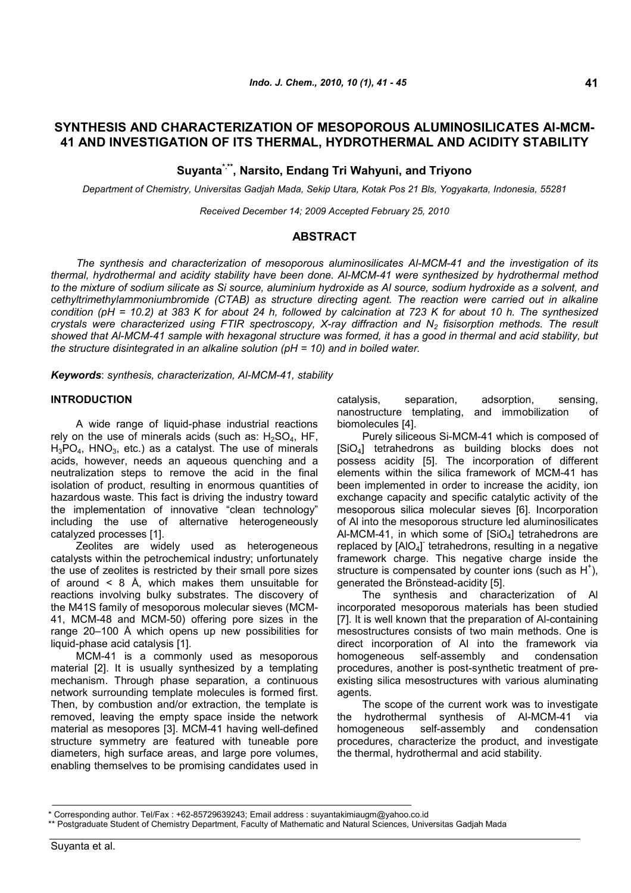# **SYNTHESIS AND CHARACTERIZATION OF MESOPOROUS ALUMINOSILICATES Al-MCM-41 AND INVESTIGATION OF ITS THERMAL, HYDROTHERMAL AND ACIDITY STABILITY**

**Suyanta\*.\*\*, Narsito, Endang Tri Wahyuni, and Triyono**

*Department of Chemistry, Universitas Gadjah Mada, Sekip Utara, Kotak Pos 21 Bls, Yogyakarta, Indonesia, 55281*

*Received December 14; 2009 Accepted February 25, 2010*

## **ABSTRACT**

*The synthesis and characterization of mesoporous aluminosilicates Al-MCM-41 and the investigation of its thermal, hydrothermal and acidity stability have been done. Al-MCM-41 were synthesized by hydrothermal method to the mixture of sodium silicate as Si source, aluminium hydroxide as Al source, sodium hydroxide as a solvent, and cethyltrimethylammoniumbromide (CTAB) as structure directing agent. The reaction were carried out in alkaline condition (pH = 10.2) at 383 K for about 24 h, followed by calcination at 723 K for about 10 h. The synthesized crystals were characterized using FTIR spectroscopy, X-ray diffraction and N<sup>2</sup> fisisorption methods. The result showed that Al-MCM-41 sample with hexagonal structure was formed, it has a good in thermal and acid stability, but the structure disintegrated in an alkaline solution (pH = 10) and in boiled water.*

*Keywords*: *synthesis, characterization, Al-MCM-41, stability*

## **INTRODUCTION**

A wide range of liquid-phase industrial reactions rely on the use of minerals acids (such as:  $H_2SO_4$ , HF,  $H_3PO_4$ ,  $HNO_3$ , etc.) as a catalyst. The use of minerals acids, however, needs an aqueous quenching and a neutralization steps to remove the acid in the final isolation of product, resulting in enormous quantities of hazardous waste. This fact is driving the industry toward the implementation of innovative "clean technology" including the use of alternative heterogeneously catalyzed processes [1].

Zeolites are widely used as heterogeneous catalysts within the petrochemical industry; unfortunately the use of zeolites is restricted by their small pore sizes of around < 8 Å, which makes them unsuitable for reactions involving bulky substrates. The discovery of the M41S family of mesoporous molecular sieves (MCM-41, MCM-48 and MCM-50) offering pore sizes in the range 20–100 Å which opens up new possibilities for liquid-phase acid catalysis [1].

MCM-41 is a commonly used as mesoporous material [2]. It is usually synthesized by a templating mechanism. Through phase separation, a continuous network surrounding template molecules is formed first. Then, by combustion and/or extraction, the template is removed, leaving the empty space inside the network material as mesopores [3]. MCM-41 having well-defined structure symmetry are featured with tuneable pore diameters, high surface areas, and large pore volumes, enabling themselves to be promising candidates used in catalysis, separation, adsorption, sensing, nanostructure templating, and immobilization of biomolecules [4].

Purely siliceous Si-MCM-41 which is composed of [SiO4] tetrahedrons as building blocks does not possess acidity [5]. The incorporation of different elements within the silica framework of MCM-41 has been implemented in order to increase the acidity, ion exchange capacity and specific catalytic activity of the mesoporous silica molecular sieves [6]. Incorporation of Al into the mesoporous structure led aluminosilicates Al-MCM-41, in which some of  $[SiO<sub>4</sub>]$  tetrahedrons are replaced by [AlO<sub>4</sub>] tetrahedrons, resulting in a negative framework charge. This negative charge inside the structure is compensated by counter ions (such as  $H^+$ ), generated the Brönstead-acidity [5].

The synthesis and characterization of Al incorporated mesoporous materials has been studied [7]. It is well known that the preparation of Al-containing mesostructures consists of two main methods. One is direct incorporation of Al into the framework via homogeneous self-assembly and condensation procedures, another is post-synthetic treatment of preexisting silica mesostructures with various aluminating agents.

The scope of the current work was to investigate the hydrothermal synthesis of Al-MCM-41 via homogeneous self-assembly and condensation procedures, characterize the product, and investigate the thermal, hydrothermal and acid stability.

<sup>\*</sup> Corresponding author. Tel/Fax : +62-85729639243; Email address : suyantakimiaugm@yahoo.co.id

<sup>\*\*</sup> Postgraduate Student of Chemistry Department, Faculty of Mathematic and Natural Sciences, Universitas Gadjah Mada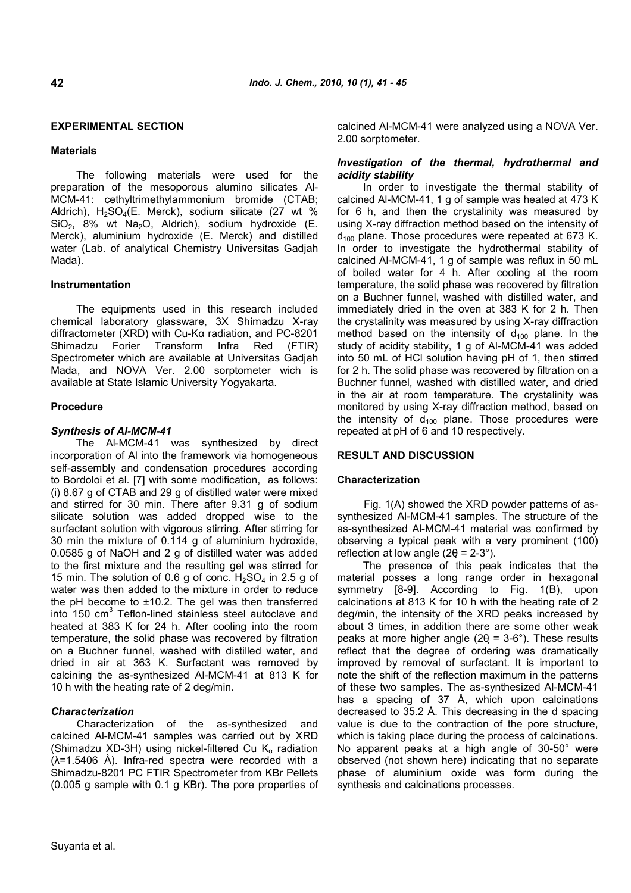## **EXPERIMENTAL SECTION**

### **Materials**

The following materials were used for the preparation of the mesoporous alumino silicates Al-MCM-41: cethyltrimethylammonium bromide (CTAB; Aldrich),  $H_2SO_4(E.$  Merck), sodium silicate (27 wt %  $SiO<sub>2</sub>$ , 8% wt Na<sub>2</sub>O, Aldrich), sodium hydroxide (E. Merck), aluminium hydroxide (E. Merck) and distilled water (Lab. of analytical Chemistry Universitas Gadjah Mada).

## **Instrumentation**

The equipments used in this research included chemical laboratory glassware, 3X Shimadzu X-ray diffractometer (XRD) with Cu-Kα radiation, and PC-8201 Shimadzu Forier Transform Infra Red (FTIR) Spectrometer which are available at Universitas Gadjah Mada, and NOVA Ver. 2.00 sorptometer wich is available at State Islamic University Yogyakarta.

## **Procedure**

## *Synthesis of Al-MCM-41*

The Al-MCM-41 was synthesized by direct incorporation of Al into the framework via homogeneous self-assembly and condensation procedures according to Bordoloi et al. [7] with some modification, as follows: (i) 8.67 g of CTAB and 29 g of distilled water were mixed and stirred for 30 min. There after 9.31 g of sodium silicate solution was added dropped wise to the surfactant solution with vigorous stirring. After stirring for 30 min the mixture of 0.114 g of aluminium hydroxide, 0.0585 g of NaOH and 2 g of distilled water was added to the first mixture and the resulting gel was stirred for 15 min. The solution of 0.6 g of conc.  $H_2SO_4$  in 2.5 g of water was then added to the mixture in order to reduce the pH become to  $\pm$ 10.2. The gel was then transferred into 150 cm<sup>3</sup> Teflon-lined stainless steel autoclave and heated at 383 K for 24 h. After cooling into the room temperature, the solid phase was recovered by filtration on a Buchner funnel, washed with distilled water, and dried in air at 363 K. Surfactant was removed by calcining the as-synthesized Al-MCM-41 at 813 K for 10 h with the heating rate of 2 deg/min.

### *Characterization*

Characterization of the as-synthesized and calcined Al-MCM-41 samples was carried out by XRD (Shimadzu XD-3H) using nickel-filtered Cu  $K_{\alpha}$  radiation  $(\lambda=1.5406 \text{ Å})$ . Infra-red spectra were recorded with a Shimadzu-8201 PC FTIR Spectrometer from KBr Pellets (0.005 g sample with 0.1 g KBr). The pore properties of calcined Al-MCM-41 were analyzed using a NOVA Ver. 2.00 sorptometer.

### *Investigation of the thermal, hydrothermal and acidity stability*

In order to investigate the thermal stability of calcined Al-MCM-41, 1 g of sample was heated at 473 K for 6 h, and then the crystalinity was measured by using X-ray diffraction method based on the intensity of  $d_{100}$  plane. Those procedures were repeated at 673 K. In order to investigate the hydrothermal stability of calcined Al-MCM-41, 1 g of sample was reflux in 50 mL of boiled water for 4 h. After cooling at the room temperature, the solid phase was recovered by filtration on a Buchner funnel, washed with distilled water, and immediately dried in the oven at 383 K for 2 h. Then the crystalinity was measured by using X-ray diffraction method based on the intensity of  $d_{100}$  plane. In the study of acidity stability, 1 g of Al-MCM-41 was added into 50 mL of HCl solution having pH of 1, then stirred for 2 h. The solid phase was recovered by filtration on a Buchner funnel, washed with distilled water, and dried in the air at room temperature. The crystalinity was monitored by using X-ray diffraction method, based on the intensity of  $d_{100}$  plane. Those procedures were repeated at pH of 6 and 10 respectively.

### **RESULT AND DISCUSSION**

### **Characterization**

Fig. 1(A) showed the XRD powder patterns of assynthesized Al-MCM-41 samples. The structure of the as-synthesized Al-MCM-41 material was confirmed by observing a typical peak with a very prominent (100) reflection at low angle  $(2\theta = 2-3^{\circ})$ .

The presence of this peak indicates that the material posses a long range order in hexagonal symmetry [8-9]. According to Fig. 1(B), upon calcinations at 813 K for 10 h with the heating rate of 2 deg/min, the intensity of the XRD peaks increased by about 3 times, in addition there are some other weak peaks at more higher angle ( $2\theta$  = 3-6°). These results reflect that the degree of ordering was dramatically improved by removal of surfactant. It is important to note the shift of the reflection maximum in the patterns of these two samples. The as-synthesized Al-MCM-41 has a spacing of 37 Å, which upon calcinations decreased to 35.2 Å. This decreasing in the d spacing value is due to the contraction of the pore structure, which is taking place during the process of calcinations. No apparent peaks at a high angle of 30-50° were observed (not shown here) indicating that no separate phase of aluminium oxide was form during the synthesis and calcinations processes.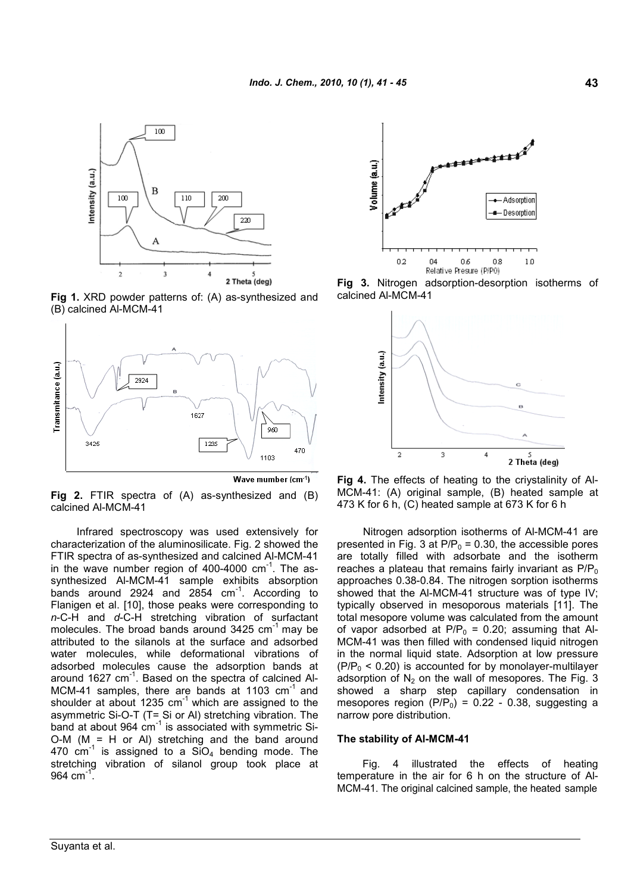

**Fig 1.** XRD powder patterns of: (A) as-synthesized and (B) calcined Al-MCM-41



Wave mumber (cm-1)

**Fig 2.** FTIR spectra of (A) as-synthesized and (B) calcined Al-MCM-41

Infrared spectroscopy was used extensively for characterization of the aluminosilicate. Fig. 2 showed the FTIR spectra of as-synthesized and calcined Al-MCM-41 in the wave number region of 400-4000 cm<sup>-1</sup>. The assynthesized Al-MCM-41 sample exhibits absorption bands around 2924 and 2854 cm<sup>-1</sup>. According to Flanigen et al. [10], those peaks were corresponding to *n*-C-H and *d*-C-H stretching vibration of surfactant molecules. The broad bands around  $3425 \text{ cm}^{-1}$  may be attributed to the silanols at the surface and adsorbed water molecules, while deformational vibrations of adsorbed molecules cause the adsorption bands at around 1627 cm<sup>-1</sup>. Based on the spectra of calcined Al-MCM-41 samples, there are bands at 1103 cm<sup>-1</sup> and shoulder at about 1235  $cm^{-1}$  which are assigned to the asymmetric Si-O-T (T= Si or Al) stretching vibration. The band at about 964 cm<sup>-1</sup> is associated with symmetric Si- $O-M$  (M = H or AI) stretching and the band around 470  $\text{cm}^{-1}$  is assigned to a  $\text{SiO}_4$  bending mode. The stretching vibration of silanol group took place at 964 cm $^{-1}$ .



**Fig 3.** Nitrogen adsorption-desorption isotherms of calcined Al-MCM-41



**Fig 4.** The effects of heating to the criystalinity of Al-MCM-41: (A) original sample, (B) heated sample at 473 K for 6 h, (C) heated sample at 673 K for 6 h

Nitrogen adsorption isotherms of Al-MCM-41 are presented in Fig. 3 at  $P/P_0 = 0.30$ , the accessible pores are totally filled with adsorbate and the isotherm reaches a plateau that remains fairly invariant as  $P/P_0$ approaches 0.38-0.84. The nitrogen sorption isotherms showed that the Al-MCM-41 structure was of type IV; typically observed in mesoporous materials [11]. The total mesopore volume was calculated from the amount of vapor adsorbed at  $P/P_0 = 0.20$ ; assuming that Al-MCM-41 was then filled with condensed liquid nitrogen in the normal liquid state. Adsorption at low pressure  $(PIP_0 < 0.20)$  is accounted for by monolayer-multilayer adsorption of  $N_2$  on the wall of mesopores. The Fig. 3 showed a sharp step capillary condensation in mesopores region (P/P<sub>0</sub>) =  $0.22 - 0.38$ , suggesting a narrow pore distribution.

#### **The stability of Al-MCM-41**

Fig. 4 illustrated the effects of heating temperature in the air for 6 h on the structure of Al-MCM-41. The original calcined sample, the heated sample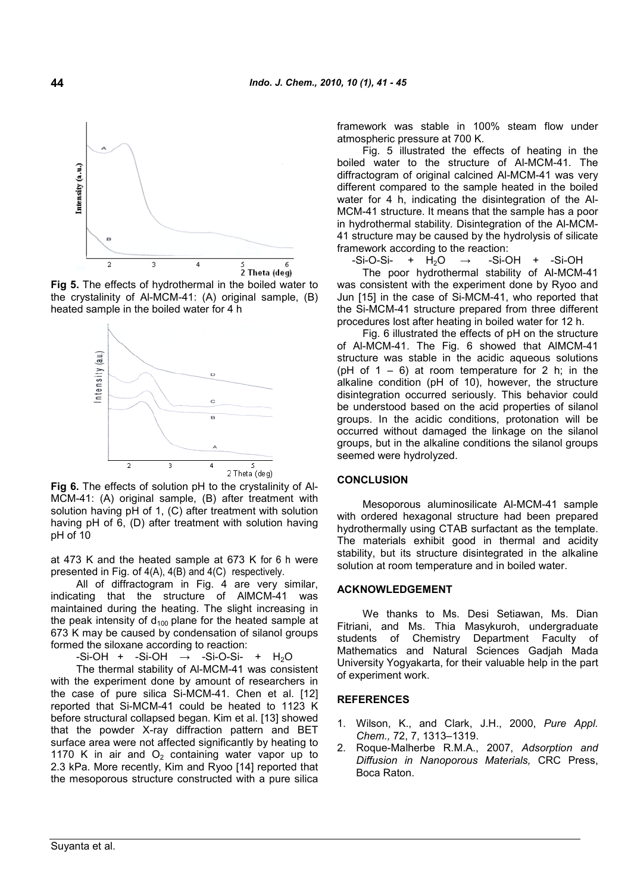

**Fig 5.** The effects of hydrothermal in the boiled water to the crystalinity of Al-MCM-41: (A) original sample, (B) heated sample in the boiled water for 4 h



**Fig 6.** The effects of solution pH to the crystalinity of Al-MCM-41: (A) original sample, (B) after treatment with solution having pH of 1, (C) after treatment with solution having pH of 6, (D) after treatment with solution having pH of 10

at 473 K and the heated sample at 673 K for 6 h were presented in Fig. of 4(A), 4(B) and 4(C) respectively.

All of diffractogram in Fig. 4 are very similar, indicating that the structure of AlMCM-41 was maintained during the heating. The slight increasing in the peak intensity of  $d_{100}$  plane for the heated sample at 673 K may be caused by condensation of silanol groups formed the siloxane according to reaction:

 $-Si-OH + Si-OH \rightarrow -Si-O-Si- + H<sub>2</sub>O$ The thermal stability of Al-MCM-41 was consistent

with the experiment done by amount of researchers in the case of pure silica Si-MCM-41. Chen et al. [12] reported that Si-MCM-41 could be heated to 1123 K before structural collapsed began. Kim et al. [13] showed that the powder X-ray diffraction pattern and BET surface area were not affected significantly by heating to 2 1170 K in air and  $O<sub>2</sub>$  containing water vapor up to 2.3 kPa. More recently, Kim and Ryoo [14] reported that the mesoporous structure constructed with a pure silica

framework was stable in 100% steam flow under atmospheric pressure at 700 K.

Fig. 5 illustrated the effects of heating in the boiled water to the structure of Al-MCM-41. The diffractogram of original calcined Al-MCM-41 was very different compared to the sample heated in the boiled water for 4 h, indicating the disintegration of the Al-MCM-41 structure. It means that the sample has a poor in hydrothermal stability. Disintegration of the Al-MCM-41 structure may be caused by the hydrolysis of silicate framework according to the reaction:

 $-Si-O-Si-$  +  $H_2O \rightarrow$  -Si-OH + -Si-OH

The poor hydrothermal stability of Al-MCM-41 was consistent with the experiment done by Ryoo and Jun [15] in the case of Si-MCM-41, who reported that the Si-MCM-41 structure prepared from three different procedures lost after heating in boiled water for 12 h.

Fig. 6 illustrated the effects of pH on the structure of Al-MCM-41. The Fig. 6 showed that AlMCM-41 structure was stable in the acidic aqueous solutions (pH of  $1 - 6$ ) at room temperature for 2 h; in the alkaline condition (pH of 10), however, the structure disintegration occurred seriously. This behavior could be understood based on the acid properties of silanol groups. In the acidic conditions, protonation will be occurred without damaged the linkage on the silanol groups, but in the alkaline conditions the silanol groups seemed were hydrolyzed.

#### **CONCLUSION**

Mesoporous aluminosilicate Al-MCM-41 sample with ordered hexagonal structure had been prepared hydrothermally using CTAB surfactant as the template. The materials exhibit good in thermal and acidity stability, but its structure disintegrated in the alkaline solution at room temperature and in boiled water.

#### **ACKNOWLEDGEMENT**

We thanks to Ms. Desi Setiawan, Ms. Dian Fitriani, and Ms. Thia Masykuroh, undergraduate students of Chemistry Department Faculty of Mathematics and Natural Sciences Gadjah Mada University Yogyakarta, for their valuable help in the part of experiment work.

#### **REFERENCES**

- 1. Wilson, K., and Clark, J.H., 2000, *Pure Appl. Chem.,* 72, 7, 1313–1319.
- 2. Roque-Malherbe R.M.A., 2007, *Adsorption and Diffusion in Nanoporous Materials,* CRC Press, Boca Raton.